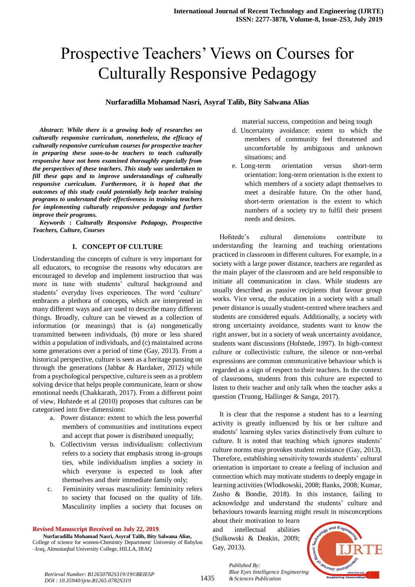# Prospective Teachers' Views on Courses for Culturally Responsive Pedagogy

## **Nurfaradilla Mohamad Nasri, Asyraf Talib, Bity Salwana Alias**

*Abstract***:** *While there is a growing body of researches on culturally responsive curriculum, nonetheless, the efficacy of culturally responsive curriculum courses for prospective teacher in preparing these soon-to-be teachers to teach culturally responsive have not been examined thoroughly especially from the perspectives of these teachers. This study was undertaken to fill these gaps and to improve understandings of culturally responsive curriculum. Furthermore, it is hoped that the outcomes of this study could potentially help teacher training programs to understand their effectiveness in training teachers for implementing culturally responsive pedagogy and further improve their programs.*

*Keywords* **:** *Culturally Responsive Pedagogy, Prospective Teachers, Culture, Courses*

#### **I. CONCEPT OF CULTURE**

Understanding the concepts of culture is very important for all educators, to recognise the reasons why educators are encouraged to develop and implement instruction that was more in tune with students' cultural background and students' everyday lives experiences. The word 'culture' embraces a plethora of concepts, which are interpreted in many different ways and are used to describe many different things. Broadly, culture can be viewed as a collection of information (or meanings) that is (a) nongenetically transmitted between individuals, (b) more or less shared within a population of individuals, and (c) maintained across some generations over a period of time (Gay, 2013). From a historical perspective, culture is seen as a heritage passing on through the generations (Jabbar & Hardaker, 2012) while from a psychological perspective, culture is seen as a problem solving device that helps people communicate, learn or show emotional needs (Chakkarath, 2017). From a different point of view, Hofstede et al (2010) proposes that cultures can be categorised into five dimensions:

- a. Power distance: extent to which the less powerful members of communities and institutions expect and accept that power is distributed unequally;
- b. Collectivism versus individualism: collectivism refers to a society that emphasis strong in-groups ties, while individualism implies a society in which everyone is expected to look after themselves and their immediate family only;
- c. Femininity versus masculinity: femininity refers to society that focused on the quality of life. Masculinity implies a society that focuses on

**Revised Manuscript Received on July 22, 2019**.

**Nurfaradilla Mohamad Nasri, Asyraf Talib, Bity Salwana Alias,** College of science for women-Chemistry Department/ University of Babylon –Iraq, Almustaqbal University College, HILLA, IRAQ

material success, competition and being tough

- d. Uncertainty avoidance: extent to which the members of community feel threatened and uncomfortable by ambiguous and unknown situations; and
- e. Long-term orientation versus short-term orientation: long-term orientation is the extent to which members of a society adapt themselves to meet a desirable future. On the other hand, short-term orientation is the extent to which numbers of a society try to fulfil their present needs and desires.

Hofstede's cultural dimensions contribute to understanding the learning and teaching orientations practiced in classroom in different cultures. For example, in a society with a large power distance, teachers are regarded as the main player of the classroom and are held responsible to initiate all communication in class. While students are usually described as passive recipients that favour group works. Vice versa, the education in a society with a small power distance is usually student-centred where teachers and students are considered equals. Additionally, a society with strong uncertainty avoidance, students want to know the right answer, but in a society of weak uncertainty avoidance, students want discussions (Hofstede, 1997). In high-context culture or collectivistic culture, the silence or non-verbal expressions are common communicative behaviour which is regarded as a sign of respect to their teachers. In the context of classrooms, students from this culture are expected to listen to their teacher and only talk when the teacher asks a question (Truong, Hallinger & Sanga, 2017).

It is clear that the response a student has to a learning activity is greatly influenced by his or her culture and students' learning styles varies distinctively from culture to culture. It is noted that teaching which ignores students' culture norms may provokes student resistance (Gay, 2013). Therefore, establishing sensitivity towards students' cultural orientation is important to create a feeling of inclusion and connection which may motivate students to deeply engage in learning activities (Wlodkowski, 2008; Banks, 2008; Kumar, Zusho & Bondie, 2018). In this instance, failing to acknowledge and understand the students' culture and behaviours towards learning might result in misconceptions

about their motivation to learn and intellectual abilities (Sulkowski & Deakin, 2009; Gay, 2013).

*& Sciences Publication* 

*Published By:*



*Retrieval Number: B12650782S319/19©BEIESP DOI : 10.35940/ijrte.B1265.0782S319*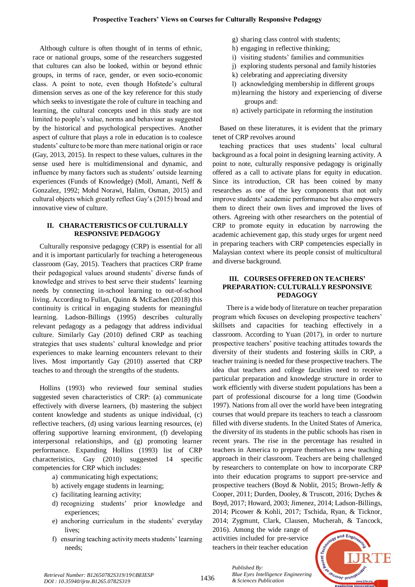Although culture is often thought of in terms of ethnic, race or national groups, some of the researchers suggested that cultures can also be looked, within or beyond ethnic groups, in terms of race, gender, or even socio-economic class. A point to note, even though Hofstede's cultural dimension serves as one of the key reference for this study which seeks to investigate the role of culture in teaching and learning, the cultural concepts used in this study are not limited to people's value, norms and behaviour as suggested by the historical and psychological perspectives. Another aspect of culture that plays a role in education is to coalesce students' culture to be more than mere national origin or race (Gay, 2013, 2015). In respect to these values, cultures in the sense used here is multidimensional and dynamic, and influence by many factors such as students' outside learning experiences (Funds of Knowledge) (Moll, Amanti, Neff & Gonzalez, 1992; Mohd Norawi, Halim, Osman, 2015) and cultural objects which greatly reflect Gay's (2015) broad and innovative view of culture.

## **II. CHARACTERISTICS OF CULTURALLY RESPONSIVE PEDAGOGY**

Culturally responsive pedagogy (CRP) is essential for all and it is important particularly for teaching a heterogeneous classroom (Gay, 2015). Teachers that practices CRP frame their pedagogical values around students' diverse funds of knowledge and strives to best serve their students' learning needs by connecting in-school learning to out-of-school living. According to Fullan, Quinn & McEachen (2018) this continuity is critical in engaging students for meaningful learning. Ladson-Billings (1995) describes culturally relevant pedagogy as a pedagogy that address individual culture. Similarly Gay (2010) defined CRP as teaching strategies that uses students' cultural knowledge and prior experiences to make learning encounters relevant to their lives. Most importantly Gay (2010) asserted that CRP teaches to and through the strengths of the students.

Hollins (1993) who reviewed four seminal studies suggested seven characteristics of CRP: (a) communicate effectively with diverse learners, (b) mastering the subject content knowledge and students as unique individual, (c) reflective teachers, (d) using various learning resources, (e) offering supportive learning environment, (f) developing interpersonal relationships, and (g) promoting learner performance. Expanding Hollins (1993) list of CRP characteristics, Gay (2010) suggested 14 specific competencies for CRP which includes:

- a) communicating high expectations;
- b) actively engage students in learning;
- c) facilitating learning activity;
- d) recognizing students' prior knowledge and experiences;
- e) anchoring curriculum in the students' everyday lives;
- f) ensuring teaching activity meets students' learning needs;
- g) sharing class control with students;
- h) engaging in reflective thinking;
- i) visiting students' families and communities
- j) exploring students personal and family histories
- k) celebrating and appreciating diversity
- l) acknowledging membership in different groups
- m)learning the history and experiencing of diverse groups and:
- n) actively participate in reforming the institution

Based on these literatures, it is evident that the primary tenet of CRP revolves around

teaching practices that uses students' local cultural background as a focal point in designing learning activity. A point to note, culturally responsive pedagogy is originally offered as a call to activate plans for equity in education. Since its introduction, CR has been coined by many researches as one of the key components that not only improve students' academic performance but also empowers them to direct their own lives and improved the lives of others. Agreeing with other researchers on the potential of CRP to promote equity in education by narrowing the academic achievement gap, this study urges for urgent need in preparing teachers with CRP competencies especially in Malaysian context where its people consist of multicultural and diverse background.

## **III. COURSES OFFERED ON TEACHERS' PREPARATION: CULTURALLY RESPONSIVE PEDAGOGY**

There is a wide body of literature on teacher preparation program which focuses on developing prospective teachers' skillsets and capacities for teaching effectively in a classroom. According to Yuan (2017), in order to nurture prospective teachers' positive teaching attitudes towards the diversity of their students and fostering skills in CRP, a teacher training is needed for these prospective teachers. The idea that teachers and college faculties need to receive particular preparation and knowledge structure in order to work efficiently with diverse student populations has been a part of professional discourse for a long time (Goodwin 1997). Nations from all over the world have been integrating courses that would prepare its teachers to teach a classroom filled with diverse students. In the United States of America, the diversity of its students in the public schools has risen in recent years. The rise in the percentage has resulted in teachers in America to prepare themselves a new teaching approach in their classroom. Teachers are being challenged by researchers to contemplate on how to incorporate CRP into their education programs to support pre-service and prospective teachers (Boyd & Noblit, 2015; Brown-Jeffy & Cooper, 2011; Durden, Dooley, & Truscott, 2016; Dyches & Boyd, 2017; Howard, 2003; Jimenez, 2014; Ladson-Billings, 2014; Picower & Kohli, 2017; Tschida, Ryan, & Ticknor, 2014; Zygmunt, Clark, Clausen, Mucherah, & Tancock,

2016). Among the wide range of activities included for pre-service teachers in their teacher education

*& Sciences Publication* 

*Published By:*

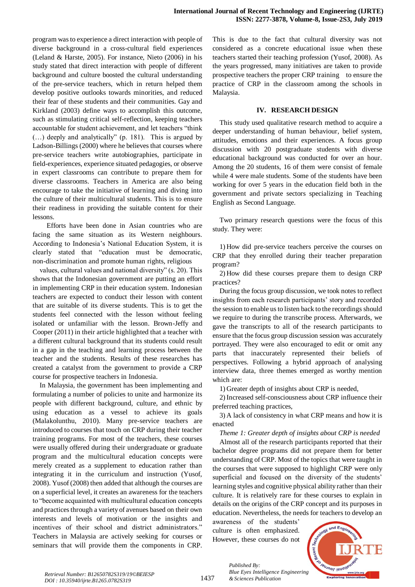program was to experience a direct interaction with people of diverse background in a cross-cultural field experiences (Leland & Harste, 2005). For instance, Nieto (2006) in his study stated that direct interaction with people of different background and culture boosted the cultural understanding of the pre-service teachers, which in return helped them develop positive outlooks towards minorities, and reduced their fear of these students and their communities. Gay and Kirkland (2003) define ways to accomplish this outcome, such as stimulating critical self-reflection, keeping teachers accountable for student achievement, and let teachers "think (…) deeply and analytically" (p. 181). This is argued by Ladson-Billings (2000) where he believes that courses where pre-service teachers write autobiographies, participate in field-experiences, experience situated pedagogies, or observe in expert classrooms can contribute to prepare them for diverse classrooms. Teachers in America are also being encourage to take the initiative of learning and diving into the culture of their multicultural students. This is to ensure their readiness in providing the suitable content for their lessons.

Efforts have been done in Asian countries who are facing the same situation as its Western neighbours. According to Indonesia's National Education System, it is clearly stated that "education must be democratic, non-discrimination and promote human rights, religious

values, cultural values and national diversity" (s. 20). This shows that the Indonesian government are putting an effort in implementing CRP in their education system. Indonesian teachers are expected to conduct their lesson with content that are suitable of its diverse students. This is to get the students feel connected with the lesson without feeling isolated or unfamiliar with the lesson. Brown-Jeffy and Cooper (2011) in their article highlighted that a teacher with a different cultural background that its students could result in a gap in the teaching and learning process between the teacher and the students. Results of these researches has created a catalyst from the government to provide a CRP course for prospective teachers in Indonesia.

In Malaysia, the government has been implementing and formulating a number of policies to unite and harmonize its people with different background, culture, and ethnic by using education as a vessel to achieve its goals (Malakolunthu, 2010). Many pre-service teachers are introduced to courses that touch on CRP during their teacher training programs. For most of the teachers, these courses were usually offered during their undergraduate or graduate program and the multicultural education concepts were merely created as a supplement to education rather than integrating it in the curriculum and instruction (Yusof, 2008). Yusof (2008) then added that although the courses are on a superficial level, it creates an awareness for the teachers to "become acquainted with multicultural education concepts and practices through a variety of avenues based on their own interests and levels of motivation or the insights and incentives of their school and district administrators." Teachers in Malaysia are actively seeking for courses or seminars that will provide them the components in CRP.

This is due to the fact that cultural diversity was not considered as a concrete educational issue when these teachers started their teaching profession (Yusof, 2008). As the years progressed, many initiatives are taken to provide prospective teachers the proper CRP training to ensure the practice of CRP in the classroom among the schools in Malaysia.

#### **IV. RESEARCH DESIGN**

This study used qualitative research method to acquire a deeper understanding of human behaviour, belief system, attitudes, emotions and their experiences. A focus group discussion with 20 postgraduate students with diverse educational background was conducted for over an hour. Among the 20 students, 16 of them were consist of female while 4 were male students. Some of the students have been working for over 5 years in the education field both in the government and private sectors specializing in Teaching English as Second Language.

Two primary research questions were the focus of this study. They were:

1) How did pre-service teachers perceive the courses on CRP that they enrolled during their teacher preparation program?

2) How did these courses prepare them to design CRP practices?

During the focus group discussion, we took notes to reflect insights from each research participants' story and recorded the session to enable us to listen back to the recordings should we require to during the transcribe process. Afterwards, we gave the transcripts to all of the research participants to ensure that the focus group discussion session was accurately portrayed. They were also encouraged to edit or omit any parts that inaccurately represented their beliefs of perspectives. Following a hybrid approach of analysing interview data, three themes emerged as worthy mention which are:

1) Greater depth of insights about CRP is needed,

2) Increased self-consciousness about CRP influence their preferred teaching practices,

3) A lack of consistency in what CRP means and how it is enacted

*Theme 1: Greater depth of insights about CRP is needed*

Almost all of the research participants reported that their bachelor degree programs did not prepare them for better understanding of CRP. Most of the topics that were taught in the courses that were supposed to highlight CRP were only superficial and focused on the diversity of the students' learning styles and cognitive physical ability rather than their culture. It is relatively rare for these courses to explain in details on the origins of the CRP concept and its purposes in education. Nevertheless, the needs for teachers to develop an

awareness of the students' culture is often emphasized. However, these courses do not

*Published By:*

*& Sciences Publication* 

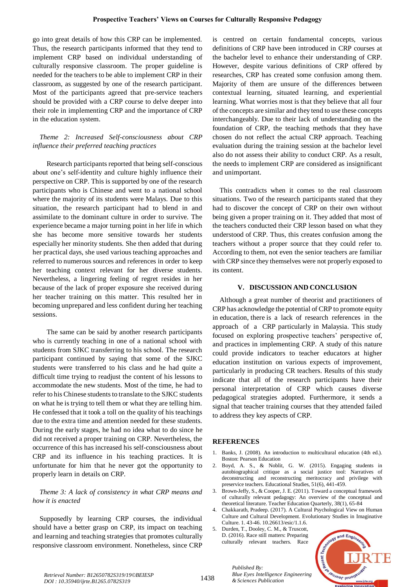go into great details of how this CRP can be implemented. Thus, the research participants informed that they tend to implement CRP based on individual understanding of culturally responsive classroom. The proper guideline is needed for the teachers to be able to implement CRP in their classroom, as suggested by one of the research participant. Most of the participants agreed that pre-service teachers should be provided with a CRP course to delve deeper into their role in implementing CRP and the importance of CRP in the education system.

## *Theme 2: Increased Self-consciousness about CRP influence their preferred teaching practices*

Research participants reported that being self-conscious about one's self-identity and culture highly influence their perspective on CRP. This is supported by one of the research participants who is Chinese and went to a national school where the majority of its students were Malays. Due to this situation, the research participant had to blend in and assimilate to the dominant culture in order to survive. The experience became a major turning point in her life in which she has become more sensitive towards her students especially her minority students. She then added that during her practical days, she used various teaching approaches and referred to numerous sources and references in order to keep her teaching context relevant for her diverse students. Nevertheless, a lingering feeling of regret resides in her because of the lack of proper exposure she received during her teacher training on this matter. This resulted her in becoming unprepared and less confident during her teaching sessions.

The same can be said by another research participants who is currently teaching in one of a national school with students from SJKC transferring to his school. The research participant continued by saying that some of the SJKC students were transferred to his class and he had quite a difficult time trying to readjust the content of his lessons to accommodate the new students. Most of the time, he had to refer to his Chinese students to translate to the SJKC students on what he is trying to tell them or what they are telling him. He confessed that it took a toll on the quality of his teachings due to the extra time and attention needed for these students. During the early stages, he had no idea what to do since he did not received a proper training on CRP. Nevertheless, the occurrence of this has increased his self-consciousness about CRP and its influence in his teaching practices. It is unfortunate for him that he never got the opportunity to properly learn in details on CRP.

## *Theme 3: A lack of consistency in what CRP means and how it is enacted*

Supposedly by learning CRP courses, the individual should have a better grasp on CRP, its impact on teaching and learning and teaching strategies that promotes culturally responsive classroom environment. Nonetheless, since CRP is centred on certain fundamental concepts, various definitions of CRP have been introduced in CRP courses at the bachelor level to enhance their understanding of CRP. However, despite various definitions of CRP offered by researches, CRP has created some confusion among them. Majority of them are unsure of the differences between contextual learning, situated learning, and experiential learning. What worries most is that they believe that all four of the concepts are similar and they tend to use these concepts interchangeably. Due to their lack of understanding on the foundation of CRP, the teaching methods that they have chosen do not reflect the actual CRP approach. Teaching evaluation during the training session at the bachelor level also do not assess their ability to conduct CRP. As a result, the needs to implement CRP are considered as insignificant and unimportant.

This contradicts when it comes to the real classroom situations. Two of the research participants stated that they had to discover the concept of CRP on their own without being given a proper training on it. They added that most of the teachers conducted their CRP lesson based on what they understood of CRP. Thus, this creates confusion among the teachers without a proper source that they could refer to. According to them, not even the senior teachers are familiar with CRP since they themselves were not properly exposed to its content.

#### **V. DISCUSSION AND CONCLUSION**

Although a great number of theorist and practitioners of CRP has acknowledge the potential of CRP to promote equity in education, there is a lack of research references in the approach of a CRP particularly in Malaysia. This study focused on exploring prospective teachers' perspective of, and practices in implementing CRP. A study of this nature could provide indicators to teacher educators at higher education institution on various expects of improvement, particularly in producing CR teachers. Results of this study indicate that all of the research participants have their personal interpretation of CRP which causes diverse pedagogical strategies adopted. Furthermore, it sends a signal that teacher training courses that they attended failed to address they key aspects of CRP.

#### **REFERENCES**

- 1. Banks, J. (2008). An introduction to multicultural education (4th ed.). Boston: Pearson Education
- 2. Boyd, A. S., & Noblit, G. W. (2015). Engaging students in autobiographical critique as a social justice tool: Narratives of deconstructing and reconstructing meritocracy and privilege with preservice teachers. Educational Studies, 51(6), 441-459.
- 3. Brown-Jeffy, S., & Cooper, J. E. (2011). Toward a conceptual framework of culturally relevant pedagogy: An overview of the conceptual and theoretical literature. Teacher Education Quarterly, 38(1), 65-84
- 4. Chakkarath, Pradeep. (2017). A Cultural Psychological View on Human Culture and Cultural Development. Evolutionary Studies in Imaginative Culture. 1. 43-46. 10.26613/esic/1.1.6.
- 5. Durden, T., Dooley, C. M., & Truscott, D. (2016). Race still matters: Preparing culturally relevant teachers. Race

*Blue Eyes Intelligence Engineering* 

*Published By:*

*& Sciences Publication* 



1438